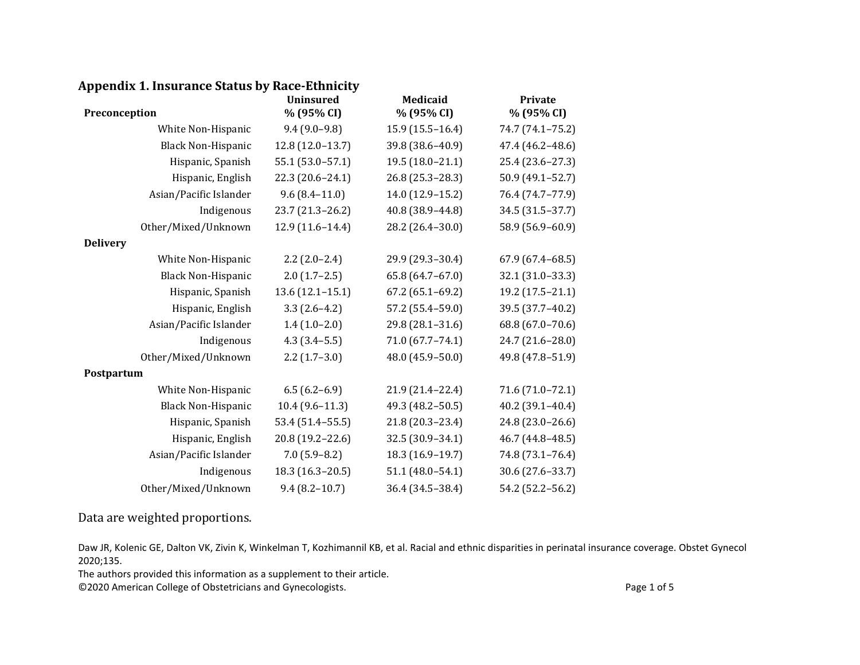## **Appendix 1. Insurance Status by Race-Ethnicity**

| Preconception             | <b>Uninsured</b><br>% (95% CI) | <b>Medicaid</b><br>% (95% CI) | Private<br>% (95% CI) |
|---------------------------|--------------------------------|-------------------------------|-----------------------|
| White Non-Hispanic        | $9.4(9.0-9.8)$                 | $15.9(15.5-16.4)$             | 74.7 (74.1-75.2)      |
| <b>Black Non-Hispanic</b> | $12.8(12.0-13.7)$              | 39.8 (38.6-40.9)              | 47.4 (46.2-48.6)      |
| Hispanic, Spanish         | 55.1 (53.0-57.1)               | $19.5(18.0-21.1)$             | 25.4 (23.6-27.3)      |
| Hispanic, English         | 22.3 (20.6-24.1)               | 26.8 (25.3-28.3)              | 50.9 (49.1-52.7)      |
| Asian/Pacific Islander    | $9.6(8.4 - 11.0)$              | 14.0 (12.9-15.2)              | 76.4 (74.7-77.9)      |
| Indigenous                | 23.7 (21.3-26.2)               | 40.8 (38.9-44.8)              | 34.5 (31.5-37.7)      |
| Other/Mixed/Unknown       | $12.9(11.6-14.4)$              | 28.2 (26.4-30.0)              | 58.9 (56.9-60.9)      |
| <b>Delivery</b>           |                                |                               |                       |
| White Non-Hispanic        | $2.2(2.0-2.4)$                 | 29.9 (29.3-30.4)              | $67.9(67.4 - 68.5)$   |
| <b>Black Non-Hispanic</b> | $2.0(1.7-2.5)$                 | 65.8 (64.7-67.0)              | 32.1 (31.0-33.3)      |
| Hispanic, Spanish         | $13.6(12.1 - 15.1)$            | $67.2(65.1-69.2)$             | 19.2 (17.5-21.1)      |
| Hispanic, English         | $3.3(2.6-4.2)$                 | 57.2 (55.4-59.0)              | 39.5 (37.7-40.2)      |
| Asian/Pacific Islander    | $1.4(1.0-2.0)$                 | 29.8 (28.1-31.6)              | 68.8 (67.0-70.6)      |
| Indigenous                | $4.3(3.4-5.5)$                 | 71.0 (67.7-74.1)              | 24.7 (21.6-28.0)      |
| Other/Mixed/Unknown       | $2.2(1.7-3.0)$                 | 48.0 (45.9-50.0)              | 49.8 (47.8-51.9)      |
| Postpartum                |                                |                               |                       |
| White Non-Hispanic        | $6.5(6.2-6.9)$                 | 21.9 (21.4-22.4)              | 71.6 (71.0-72.1)      |
| <b>Black Non-Hispanic</b> | $10.4(9.6-11.3)$               | 49.3 (48.2-50.5)              | 40.2 (39.1-40.4)      |
| Hispanic, Spanish         | 53.4 (51.4-55.5)               | 21.8 (20.3-23.4)              | 24.8 (23.0-26.6)      |
| Hispanic, English         | 20.8 (19.2-22.6)               | 32.5 (30.9-34.1)              | 46.7 (44.8-48.5)      |
| Asian/Pacific Islander    | $7.0(5.9-8.2)$                 | 18.3 (16.9-19.7)              | 74.8 (73.1-76.4)      |
| Indigenous                | 18.3 (16.3-20.5)               | $51.1 (48.0 - 54.1)$          | 30.6 (27.6-33.7)      |
| Other/Mixed/Unknown       | $9.4(8.2 - 10.7)$              | 36.4 (34.5-38.4)              | 54.2 (52.2-56.2)      |

Data are weighted proportions.

Daw JR, Kolenic GE, Dalton VK, Zivin K, Winkelman T, Kozhimannil KB, et al. Racial and ethnic disparities in perinatal insurance coverage. Obstet Gynecol 2020;135.

The authors provided this information as a supplement to their article.

©2020 American College of Obstetricians and Gynecologists. Page 1 of 5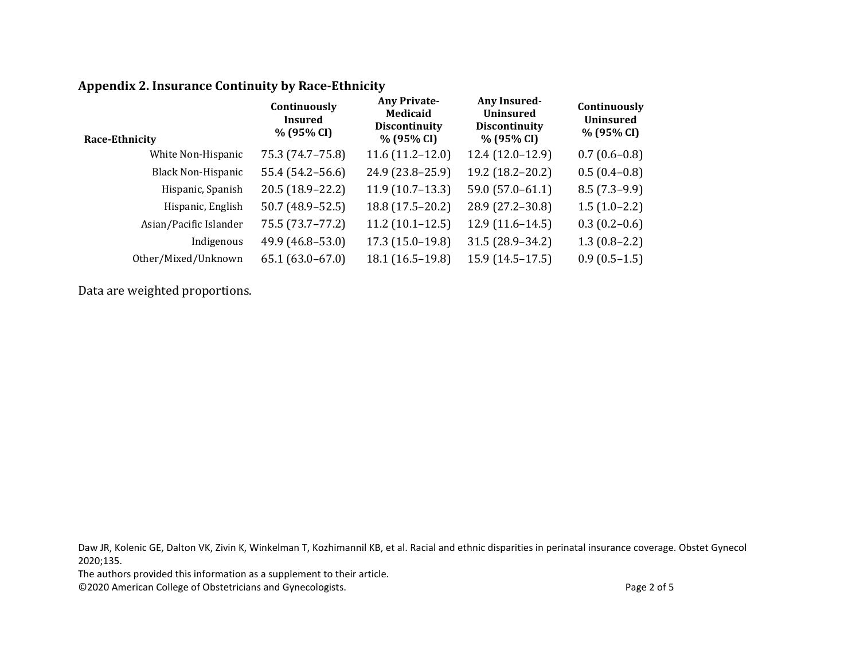## **Appendix 2. Insurance Continuity by Race-Ethnicity**

| Continuously<br><b>Insured</b><br>% (95% CI) | <b>Any Private-</b><br>Medicaid<br><b>Discontinuity</b><br>% (95% CI) | <b>Any Insured-</b><br><b>Uninsured</b><br><b>Discontinuity</b><br>% (95% CI) | Continuously<br><b>Uninsured</b><br>% (95% CI) |
|----------------------------------------------|-----------------------------------------------------------------------|-------------------------------------------------------------------------------|------------------------------------------------|
| 75.3 (74.7-75.8)                             | $11.6(11.2 - 12.0)$                                                   | $12.4(12.0-12.9)$                                                             | $0.7(0.6-0.8)$                                 |
| 55.4 (54.2–56.6)                             | 24.9 (23.8-25.9)                                                      | 19.2 (18.2-20.2)                                                              | $0.5(0.4-0.8)$                                 |
| $20.5(18.9 - 22.2)$                          | $11.9(10.7-13.3)$                                                     | $59.0(57.0-61.1)$                                                             | $8.5(7.3-9.9)$                                 |
| $50.7(48.9 - 52.5)$                          | 18.8 (17.5-20.2)                                                      | 28.9 (27.2-30.8)                                                              | $1.5(1.0-2.2)$                                 |
| 75.5 (73.7–77.2)                             | $11.2(10.1-12.5)$                                                     | $12.9(11.6 - 14.5)$                                                           | $0.3(0.2-0.6)$                                 |
| 49.9 (46.8–53.0)                             | $17.3(15.0-19.8)$                                                     | 31.5 (28.9-34.2)                                                              | $1.3(0.8-2.2)$                                 |
| $65.1(63.0-67.0)$                            | 18.1 (16.5-19.8)                                                      | $15.9(14.5 - 17.5)$                                                           | $0.9(0.5-1.5)$                                 |
|                                              |                                                                       |                                                                               |                                                |

Data are weighted proportions.

Daw JR, Kolenic GE, Dalton VK, Zivin K, Winkelman T, Kozhimannil KB, et al. Racial and ethnic disparities in perinatal insurance coverage. Obstet Gynecol 2020;135.

The authors provided this information as a supplement to their article.

©2020 American College of Obstetricians and Gynecologists. Page 2 of 5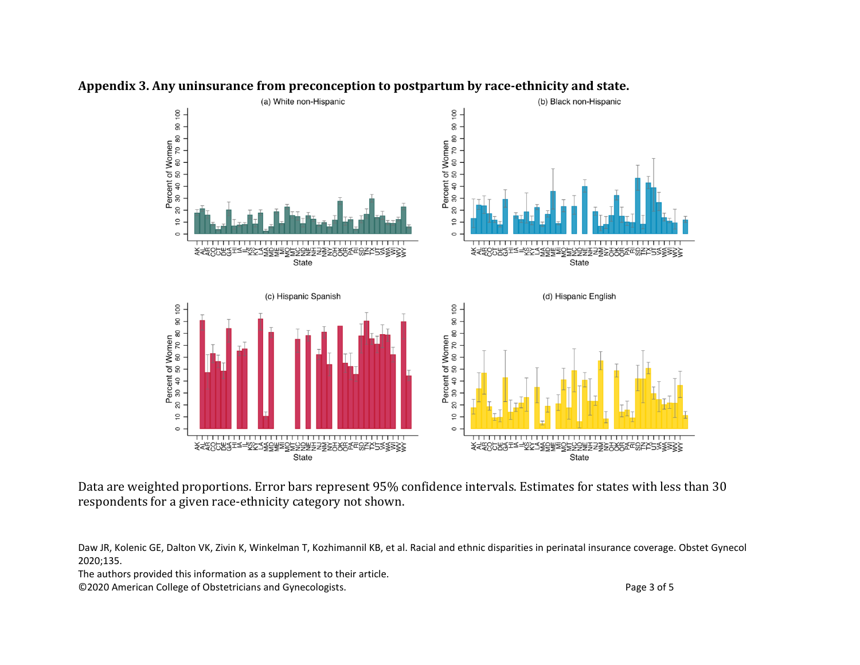

## **Appendix 3. Any uninsurance from preconception to postpartum by race-ethnicity and state.**

Data are weighted proportions. Error bars represent 95% confidence intervals. Estimates for states with less than 30 respondents for a given race-ethnicity category not shown.

Daw JR, Kolenic GE, Dalton VK, Zivin K, Winkelman T, Kozhimannil KB, et al. Racial and ethnic disparities in perinatal insurance coverage. Obstet Gynecol 2020;135.

The authors provided this information as a supplement to their article.

©2020 American College of Obstetricians and Gynecologists. Page 3 of 5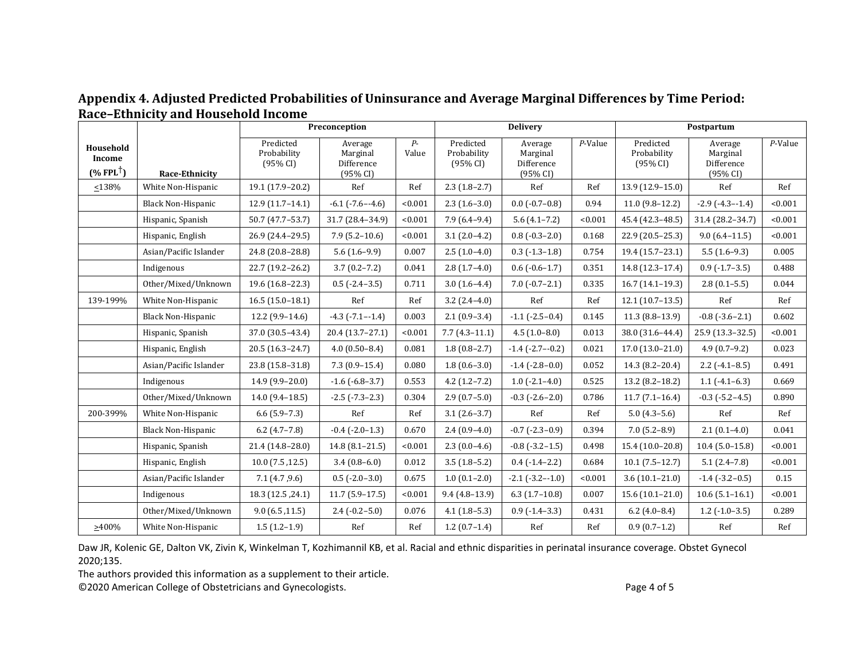|                                                |                           | Preconception                        |                                               |               | <b>Delivery</b>                      |                                               |         | Postpartum                           |                                               |         |
|------------------------------------------------|---------------------------|--------------------------------------|-----------------------------------------------|---------------|--------------------------------------|-----------------------------------------------|---------|--------------------------------------|-----------------------------------------------|---------|
| Household<br>Income<br>$(%$ FPL <sup>†</sup> ) | <b>Race-Ethnicity</b>     | Predicted<br>Probability<br>(95% CI) | Average<br>Marginal<br>Difference<br>(95% CI) | $P-$<br>Value | Predicted<br>Probability<br>(95% CI) | Average<br>Marginal<br>Difference<br>(95% CI) | P-Value | Predicted<br>Probability<br>(95% CI) | Average<br>Marginal<br>Difference<br>(95% CI) | P-Value |
| $\leq 138\%$                                   | White Non-Hispanic        | 19.1 (17.9-20.2)                     | Ref                                           | Ref           | $2.3(1.8-2.7)$                       | Ref                                           | Ref     | 13.9 (12.9-15.0)                     | Ref                                           | Ref     |
|                                                | <b>Black Non-Hispanic</b> | $12.9(11.7-14.1)$                    | $-6.1$ $(-7.6 - -4.6)$                        | < 0.001       | $2.3(1.6-3.0)$                       | $0.0$ ( $-0.7-0.8$ )                          | 0.94    | $11.0(9.8-12.2)$                     | $-2.9$ $(-4.3 - 1.4)$                         | < 0.001 |
|                                                | Hispanic, Spanish         | 50.7 (47.7-53.7)                     | 31.7 (28.4-34.9)                              | < 0.001       | $7.9(6.4-9.4)$                       | $5.6(4.1 - 7.2)$                              | < 0.001 | 45.4 (42.3-48.5)                     | 31.4 (28.2-34.7)                              | < 0.001 |
|                                                | Hispanic, English         | 26.9 (24.4-29.5)                     | $7.9(5.2 - 10.6)$                             | < 0.001       | $3.1(2.0-4.2)$                       | $0.8(-0.3-2.0)$                               | 0.168   | 22.9 (20.5-25.3)                     | $9.0(6.4 - 11.5)$                             | < 0.001 |
|                                                | Asian/Pacific Islander    | 24.8 (20.8-28.8)                     | $5.6(1.6-9.9)$                                | 0.007         | $2.5(1.0-4.0)$                       | $0.3$ ( $-1.3-1.8$ )                          | 0.754   | 19.4 (15.7-23.1)                     | $5.5(1.6-9.3)$                                | 0.005   |
|                                                | Indigenous                | 22.7 (19.2-26.2)                     | $3.7(0.2 - 7.2)$                              | 0.041         | $2.8(1.7-4.0)$                       | $0.6$ ( $-0.6-1.7$ )                          | 0.351   | 14.8 (12.3-17.4)                     | $0.9$ ( $-1.7-3.5$ )                          | 0.488   |
|                                                | Other/Mixed/Unknown       | 19.6 (16.8-22.3)                     | $0.5$ (-2.4-3.5)                              | 0.711         | $3.0(1.6-4.4)$                       | $7.0(-0.7-2.1)$                               | 0.335   | $16.7(14.1-19.3)$                    | $2.8(0.1-5.5)$                                | 0.044   |
| 139-199%                                       | White Non-Hispanic        | $16.5(15.0-18.1)$                    | Ref                                           | Ref           | $3.2(2.4-4.0)$                       | Ref                                           | Ref     | $12.1(10.7-13.5)$                    | Ref                                           | Ref     |
|                                                | <b>Black Non-Hispanic</b> | $12.2(9.9-14.6)$                     | $-4.3$ $(-7.1 - -1.4)$                        | 0.003         | $2.1(0.9-3.4)$                       | $-1.1$ ( $-2.5-0.4$ )                         | 0.145   | $11.3(8.8-13.9)$                     | $-0.8$ ( $-3.6-2.1$ )                         | 0.602   |
|                                                | Hispanic, Spanish         | 37.0 (30.5-43.4)                     | $20.4(13.7-27.1)$                             | < 0.001       | $7.7(4.3-11.1)$                      | $4.5(1.0-8.0)$                                | 0.013   | 38.0 (31.6-44.4)                     | 25.9 (13.3-32.5)                              | < 0.001 |
|                                                | Hispanic, English         | 20.5 (16.3-24.7)                     | $4.0(0.50-8.4)$                               | 0.081         | $1.8(0.8-2.7)$                       | $-1.4$ $(-2.7 - -0.2)$                        | 0.021   | $17.0(13.0-21.0)$                    | $4.9(0.7-9.2)$                                | 0.023   |
|                                                | Asian/Pacific Islander    | 23.8 (15.8-31.8)                     | $7.3(0.9-15.4)$                               | 0.080         | $1.8(0.6-3.0)$                       | $-1.4$ $(-2.8-0.0)$                           | 0.052   | 14.3 (8.2-20.4)                      | $2.2$ (-4.1-8.5)                              | 0.491   |
|                                                | Indigenous                | 14.9 (9.9-20.0)                      | $-1.6$ ( $-6.8-3.7$ )                         | 0.553         | $4.2(1.2-7.2)$                       | $1.0$ ( $-2.1-4.0$ )                          | 0.525   | $13.2$ (8.2-18.2)                    | $1.1$ ( $-4.1-6.3$ )                          | 0.669   |
|                                                | Other/Mixed/Unknown       | $14.0(9.4 - 18.5)$                   | $-2.5$ $(-7.3 - 2.3)$                         | 0.304         | $2.9(0.7-5.0)$                       | $-0.3$ $(-2.6 - 2.0)$                         | 0.786   | $11.7(7.1 - 16.4)$                   | $-0.3$ ( $-5.2-4.5$ )                         | 0.890   |
| 200-399%                                       | White Non-Hispanic        | $6.6(5.9-7.3)$                       | Ref                                           | Ref           | $3.1(2.6-3.7)$                       | Ref                                           | Ref     | $5.0(4.3-5.6)$                       | Ref                                           | Ref     |
|                                                | <b>Black Non-Hispanic</b> | $6.2$ (4.7-7.8)                      | $-0.4$ $(-2.0-1.3)$                           | 0.670         | $2.4(0.9-4.0)$                       | $-0.7$ $(-2.3 - 0.9)$                         | 0.394   | $7.0(5.2 - 8.9)$                     | $2.1(0.1-4.0)$                                | 0.041   |
|                                                | Hispanic, Spanish         | 21.4 (14.8-28.0)                     | $14.8(8.1 - 21.5)$                            | < 0.001       | $2.3(0.0-4.6)$                       | $-0.8$ $(-3.2 - 1.5)$                         | 0.498   | 15.4 (10.0-20.8)                     | $10.4(5.0-15.8)$                              | < 0.001 |
|                                                | Hispanic, English         | $10.0$ (7.5, 12.5)                   | $3.4(0.8-6.0)$                                | 0.012         | $3.5(1.8-5.2)$                       | $0.4$ ( $-1.4-2.2$ )                          | 0.684   | $10.1(7.5-12.7)$                     | $5.1(2.4 - 7.8)$                              | < 0.001 |
|                                                | Asian/Pacific Islander    | 7.1(4.7, 9.6)                        | $0.5$ (-2.0-3.0)                              | 0.675         | $1.0(0.1-2.0)$                       | $-2.1$ $(-3.2 - -1.0)$                        | < 0.001 | $3.6(10.1 - 21.0)$                   | $-1.4$ ( $-3.2-0.5$ )                         | 0.15    |
|                                                | Indigenous                | 18.3 (12.5, 24.1)                    | $11.7(5.9-17.5)$                              | < 0.001       | $9.4(4.8-13.9)$                      | $6.3(1.7-10.8)$                               | 0.007   | $15.6(10.1 - 21.0)$                  | $10.6(5.1 - 16.1)$                            | < 0.001 |
|                                                | Other/Mixed/Unknown       | 9.0(6.5, 11.5)                       | $2.4$ ( $-0.2 - 5.0$ )                        | 0.076         | $4.1(1.8-5.3)$                       | $0.9$ ( $-1.4-3.3$ )                          | 0.431   | $6.2$ (4.0-8.4)                      | $1.2$ ( $-1.0-3.5$ )                          | 0.289   |
| $>400\%$                                       | White Non-Hispanic        | $1.5(1.2-1.9)$                       | Ref                                           | Ref           | $1.2(0.7-1.4)$                       | Ref                                           | Ref     | $0.9(0.7-1.2)$                       | Ref                                           | Ref     |

## **Appendix 4. Adjusted Predicted Probabilities of Uninsurance and Average Marginal Differences by Time Period: Race–Ethnicity and Household Income**

Daw JR, Kolenic GE, Dalton VK, Zivin K, Winkelman T, Kozhimannil KB, et al. Racial and ethnic disparities in perinatal insurance coverage. Obstet Gynecol 2020;135.

The authors provided this information as a supplement to their article.

©2020 American College of Obstetricians and Gynecologists. Page 4 of 5